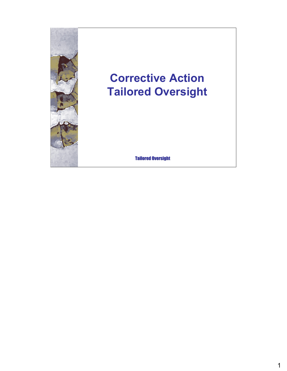

# **Corrective Action Tailored Oversight**

**Tailored Oversight**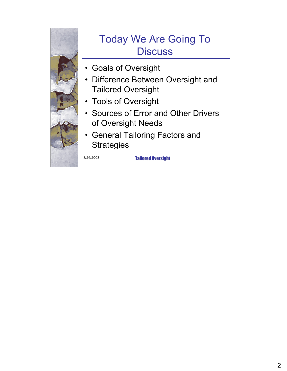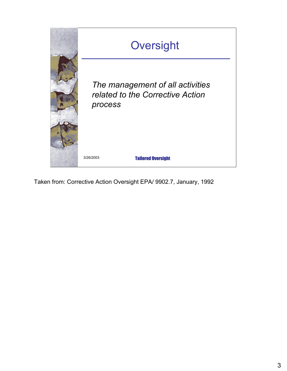

Taken from: Corrective Action Oversight EPA/ 9902.7, January, 1992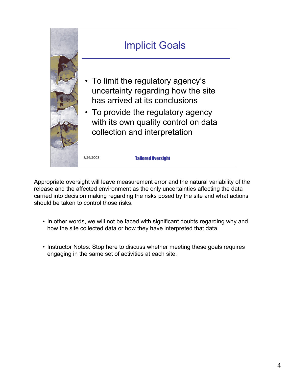

Appropriate oversight will leave measurement error and the natural variability of the release and the affected environment as the only uncertainties affecting the data carried into decision making regarding the risks posed by the site and what actions should be taken to control those risks.

- In other words, we will not be faced with significant doubts regarding why and how the site collected data or how they have interpreted that data.
- Instructor Notes: Stop here to discuss whether meeting these goals requires engaging in the same set of activities at each site.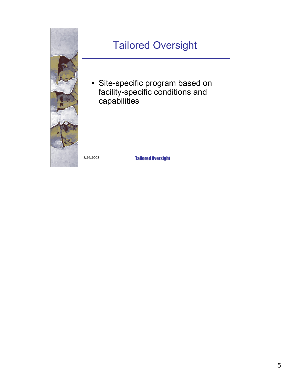

#### Tailored Oversight

• Site-specific program based on facility-specific conditions and capabilities

3/26/2003 Tailored Oversight Tailored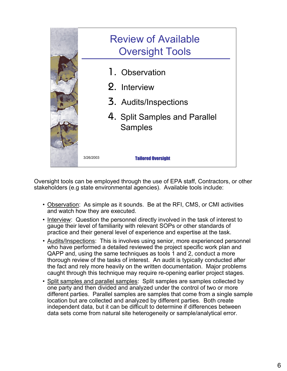

Oversight tools can be employed through the use of EPA staff, Contractors, or other stakeholders (e.g state environmental agencies). Available tools include:

- Observation: As simple as it sounds. Be at the RFI, CMS, or CMI activities and watch how they are executed.
- Interview: Question the personnel directly involved in the task of interest to gauge their level of familiarity with relevant SOPs or other standards of practice and their general level of experience and expertise at the task.
- Audits/Inspections: This is involves using senior, more experienced personnel who have performed a detailed reviewed the project specific work plan and QAPP and, using the same techniques as tools 1 and 2, conduct a more thorough review of the tasks of interest. An audit is typically conducted after the fact and rely more heavily on the written documentation. Major problems caught through this technique may require re-opening earlier project stages.
- Split samples and parallel samples: Split samples are samples collected by one party and then divided and analyzed under the control of two or more different parties. Parallel samples are samples that come from a single sample location but are collected and analyzed by different parties. Both create independent data, but it can be difficult to determine if differences between data sets come from natural site heterogeneity or sample/analytical error.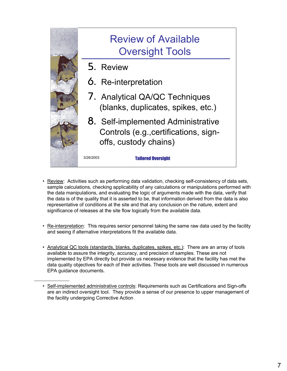

- Review: Activities such as performing data validation, checking self-consistency of data sets, sample calculations, checking applicability of any calculations or manipulations performed with the data manipulations, and evaluating the logic of arguments made with the data, verify that the data is of the quality that it is asserted to be, that information derived from the data is also representative of conditions at the site and that any conclusion on the nature, extent and significance of releases at the site flow logically from the available data.
- Re-interpretation: This requires senior personnel taking the same raw data used by the facility and seeing if alternative interpretations fit the available data.
- Analytical QC tools (standards, blanks, duplicates, spikes, etc.): There are an array of tools available to assure the integrity, accuracy, and precision of samples. These are not implemented by EPA directly but provide us necessary evidence that the facility has met the data quality objectives for each of their activities. These tools are well discussed in numerous EPA guidance documents.

<sup>•</sup> Self-implemented administrative controls: Requirements such as Certifications and Sign-offs are an indirect oversight tool. They provide a sense of our presence to upper management of the facility undergoing Corrective Action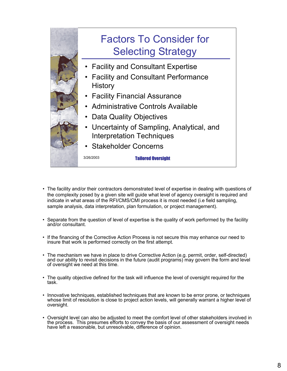

- The facility and/or their contractors demonstrated level of expertise in dealing with questions of the complexity posed by a given site will guide what level of agency oversight is required and indicate in what areas of the RFI/CMS/CMI process it is most needed (i.e field sampling, sample analysis, data interpretation, plan formulation, or project management).
- Separate from the question of level of expertise is the quality of work performed by the facility and/or consultant.
- If the financing of the Corrective Action Process is not secure this may enhance our need to insure that work is performed correctly on the first attempt.
- The mechanism we have in place to drive Corrective Action (e.g. permit, order, self-directed) and our ability to revisit decisions in the future (audit programs) may govern the form and level of oversight we need at this time.
- The quality objective defined for the task will influence the level of oversight required for the task.
- Innovative techniques, established techniques that are known to be error prone, or techniques whose limit of resolution is close to project action levels, will generally warrant a higher level of oversight.
- Oversight level can also be adjusted to meet the comfort level of other stakeholders involved in the process. This presumes efforts to convey the basis of our assessment of oversight needs have left a reasonable, but unresolvable, difference of opinion.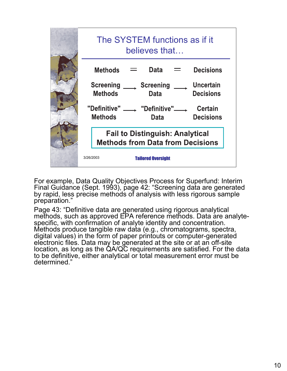

For example, Data Quality Objectives Process for Superfund: Interim Final Guidance (Sept. 1993), page 42: "Screening data are generated by rapid, less precise methods of analysis with less rigorous sample preparation."

Page 43: "Definitive data are generated using rigorous analytical methods, such as approved EPA reference methods. Data are analytespecific, with confirmation of analyte identity and concentration. Methods produce tangible raw data (e.g., chromatograms, spectra, digital values) in the form of paper printouts or computer-generated electronic files. Data may be generated at the site or at an off-site location, as long as the QA/QC requirements are satisfied. For the data to be definitive, either analytical or total measurement error must be determined."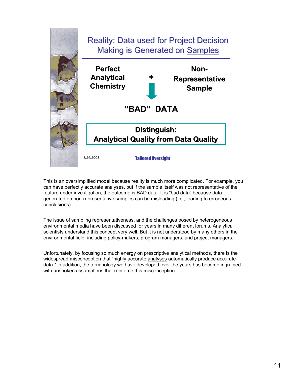

This is an oversimplified model because reality is much more complicated. For example, you can have perfectly accurate analyses, but if the sample itself was not representative of the feature under investigation, the outcome is BAD data. It is "bad data" because data generated on non-representative samples can be misleading (i.e., leading to erroneous conclusions).

The issue of sampling representativeness, and the challenges posed by heterogeneous environmental media have been discussed for years in many different forums. Analytical scientists understand this concept very well. But it is not understood by many others in the environmental field, including policy-makers, program managers, and project managers.

Unfortunately, by focusing so much energy on prescriptive analytical methods, there is the widespread misconception that "highly accurate analyses automatically produce accurate data." In addition, the terminology we have developed over the years has become ingrained with unspoken assumptions that reinforce this misconception.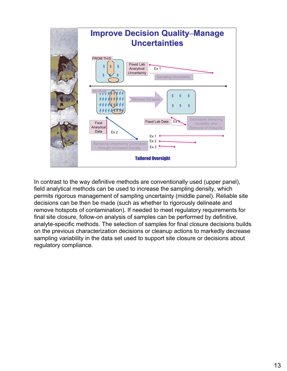

In contrast to the way definitive methods are conventionally used (upper panel), field analytical methods can be used to increase the sampling density, which permits rigorous management of sampling uncertainty (middle panel). Reliable site decisions can be then be made (such as whether to rigorously delineate and remove hotspots of contamination). If needed to meet regulatory requirements for final site closure, follow-on analysis of samples can be performed by definitive, analyte-specific methods. The selection of samples for final closure decisions builds on the previous characterization decisions or cleanup actions to markedly decrease sampling variability in the data set used to support site closure or decisions about regulatory compliance.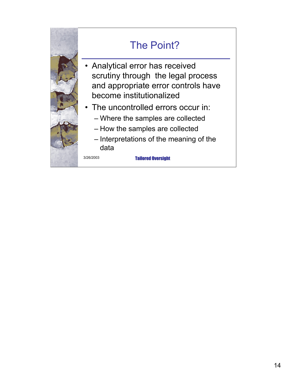

### The Point?

- Analytical error has received scrutiny through the legal process and appropriate error controls have become institutionalized
- The uncontrolled errors occur in:
	- Where the samples are collected
	- How the samples are collected
	- Interpretations of the meaning of the data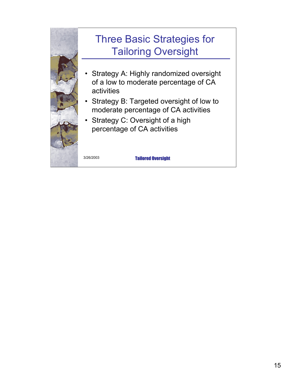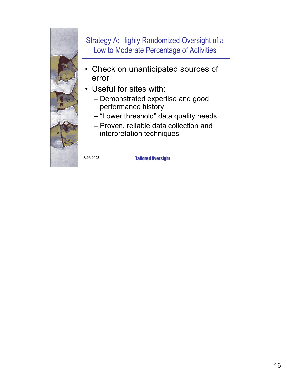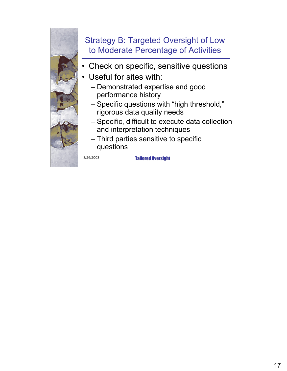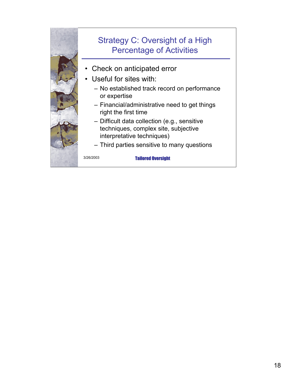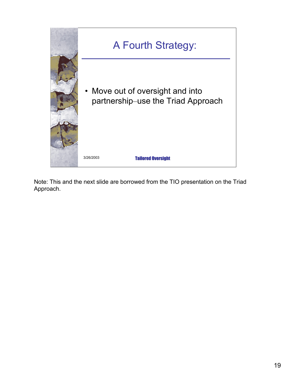

Note: This and the next slide are borrowed from the TIO presentation on the Triad Approach.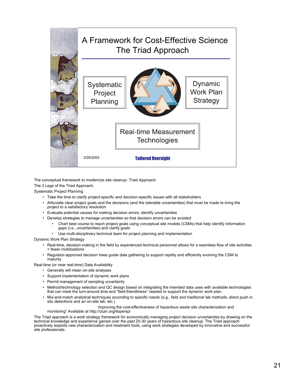

The conceptual framework to modernize site cleanup: Triad Approach The 3 Legs of the Triad Approach:

Systematic Project Planning

- Take the time to clarify project-specific and decision-specific issues with all stakeholders
- Articulate clear project goals and the decisions (and the tolerable uncertainties) that must be made to bring the project to a satisfactory resolution
- Evaluate potential causes for making decision errors; identify uncertainties
- Develop strategies to manage uncertainties so that decision errors can be avoided
	- Chart best course to reach project goals using conceptual site models (CSMs) that help identify information gaps (i.e., uncertainties) and clarify goals
	- Use multi-disciplinary technical team for project planning and implementation

Dynamic Work Plan Strategy

- Real-time, decision-making in the field by experienced technical personnel allows for a seamless flow of site activities = fewer mobilizations
- Regulator-approved decision trees guide data gathering to support rapidly and efficiently evolving the CSM to maturity

Real-time (or near real-time) Data Availability

- Generally will mean on-site analyses
- Support implementation of dynamic work plans
- Permit management of sampling uncertainty
- Method/technology selection and QC design based on integrating the intended data uses with available technologies that can meet the turn-around time and "field-friendliness" needed to support the dynamic work plan.
- Mix-and-match analytical techniques according to specific needs (e.g., field and traditional lab methods; direct push in situ detections and an on-site lab; etc.)

Improving the cost-effectiveness of hazardous waste site characterization and monitoringî Available at http://cluin.org/tiopersp/

The Triad approach is a work strategy framework for economically managing project decision uncertainties by drawing on the technical knowledge and experience gained over the past 20-30 years of hazardous site cleanup. The Triad approach proactively exploits new characterization and treatment tools, using work strategies developed by innovative and successful site professionals.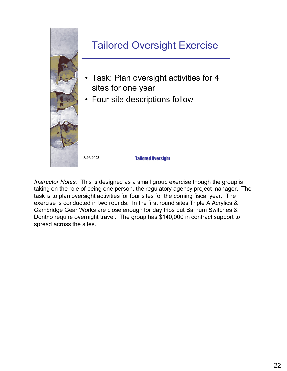

*Instructor Notes:* This is designed as a small group exercise though the group is taking on the role of being one person, the regulatory agency project manager. The task is to plan oversight activities for four sites for the coming fiscal year. The exercise is conducted in two rounds. In the first round sites Triple A Acrylics & Cambridge Gear Works are close enough for day trips but Barnum Switches & Dontno require overnight travel. The group has \$140,000 in contract support to spread across the sites.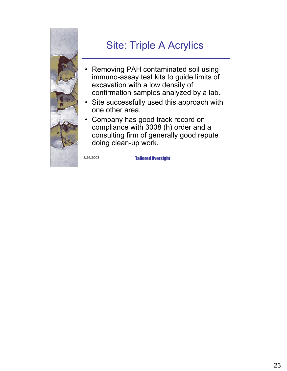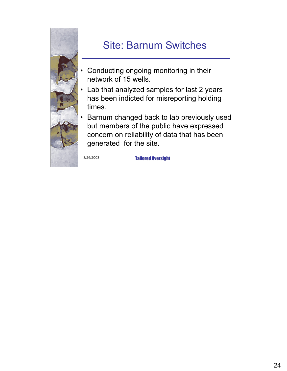

## Site: Barnum Switches

- Conducting ongoing monitoring in their network of 15 wells.
- Lab that analyzed samples for last 2 years has been indicted for misreporting holding times.
- Barnum changed back to lab previously used but members of the public have expressed concern on reliability of data that has been generated for the site.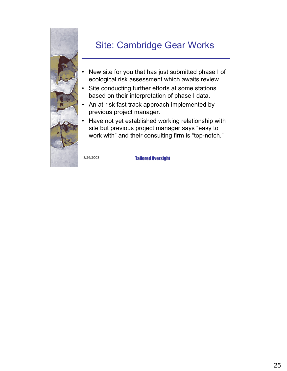

#### Site: Cambridge Gear Works

- New site for you that has just submitted phase I of ecological risk assessment which awaits review.
- Site conducting further efforts at some stations based on their interpretation of phase I data.
- An at-risk fast track approach implemented by previous project manager.
- Have not yet established working relationship with site but previous project manager says "easy to work with" and their consulting firm is "top-notch."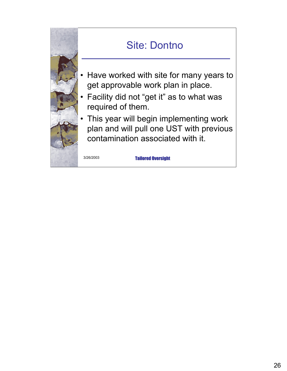

### Site: Dontno

- Have worked with site for many years to get approvable work plan in place.
- Facility did not "get it" as to what was required of them.
- This year will begin implementing work plan and will pull one UST with previous contamination associated with it.